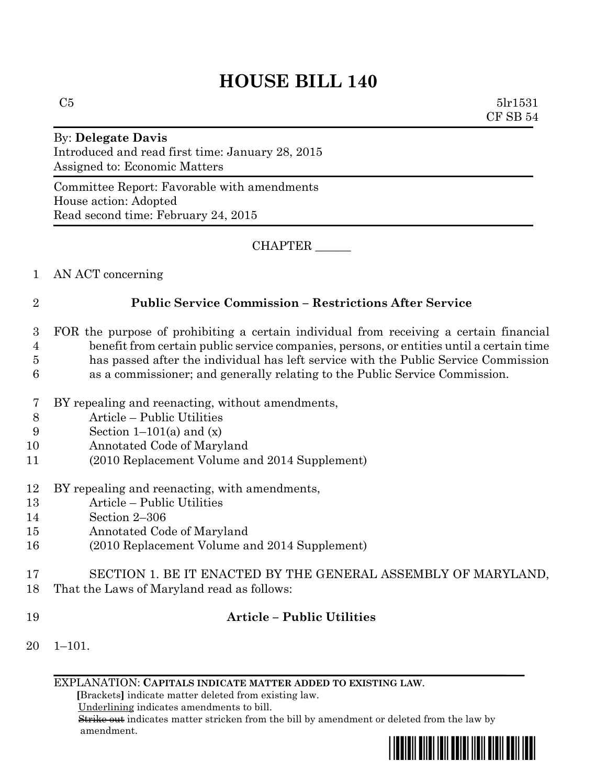# **HOUSE BILL 140**

### By: **Delegate Davis** Introduced and read first time: January 28, 2015 Assigned to: Economic Matters

Committee Report: Favorable with amendments House action: Adopted Read second time: February 24, 2015

CHAPTER \_\_\_\_\_\_

1 AN ACT concerning

### 2 **Public Service Commission – Restrictions After Service**

- 3 FOR the purpose of prohibiting a certain individual from receiving a certain financial 4 benefit from certain public service companies, persons, or entities until a certain time 5 has passed after the individual has left service with the Public Service Commission 6 as a commissioner; and generally relating to the Public Service Commission.
- 7 BY repealing and reenacting, without amendments,
- 8 Article Public Utilities
- 9 Section  $1-101(a)$  and  $(x)$
- 10 Annotated Code of Maryland
- 11 (2010 Replacement Volume and 2014 Supplement)
- 12 BY repealing and reenacting, with amendments,
- 13 Article Public Utilities
- 14 Section 2–306
- 15 Annotated Code of Maryland
- 16 (2010 Replacement Volume and 2014 Supplement)
- 17 SECTION 1. BE IT ENACTED BY THE GENERAL ASSEMBLY OF MARYLAND, 18 That the Laws of Maryland read as follows:
- 

## 19 **Article – Public Utilities**

20 1–101.

EXPLANATION: **CAPITALS INDICATE MATTER ADDED TO EXISTING LAW**.

 **[**Brackets**]** indicate matter deleted from existing law.

Underlining indicates amendments to bill.

 Strike out indicates matter stricken from the bill by amendment or deleted from the law by amendment.

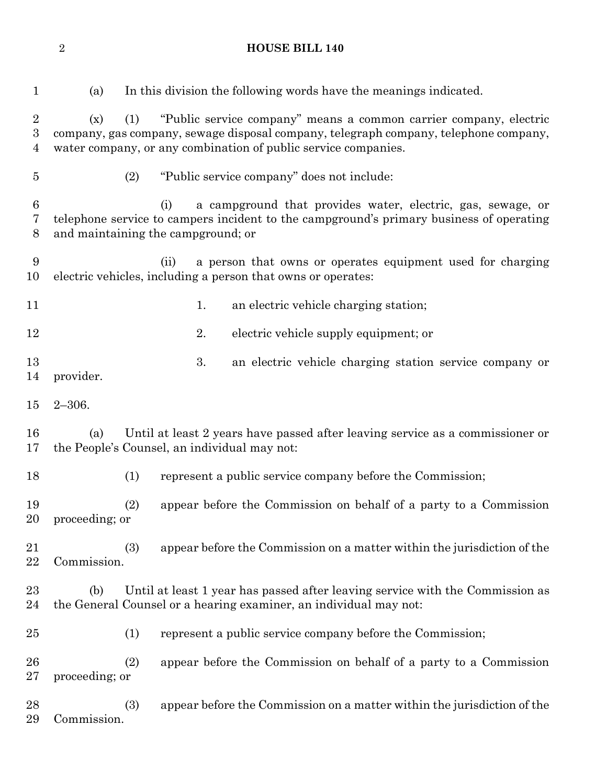(a) In this division the following words have the meanings indicated. (x) (1) "Public service company" means a common carrier company, electric company, gas company, sewage disposal company, telegraph company, telephone company, water company, or any combination of public service companies. (2) "Public service company" does not include: (i) a campground that provides water, electric, gas, sewage, or telephone service to campers incident to the campground's primary business of operating and maintaining the campground; or (ii) a person that owns or operates equipment used for charging electric vehicles, including a person that owns or operates: 11 1. an electric vehicle charging station; 2. electric vehicle supply equipment; or 3. an electric vehicle charging station service company or provider. 2–306. (a) Until at least 2 years have passed after leaving service as a commissioner or the People's Counsel, an individual may not: (1) represent a public service company before the Commission; (2) appear before the Commission on behalf of a party to a Commission proceeding; or (3) appear before the Commission on a matter within the jurisdiction of the Commission. (b) Until at least 1 year has passed after leaving service with the Commission as the General Counsel or a hearing examiner, an individual may not: (1) represent a public service company before the Commission; (2) appear before the Commission on behalf of a party to a Commission proceeding; or

 (3) appear before the Commission on a matter within the jurisdiction of the Commission.

**HOUSE BILL 140**